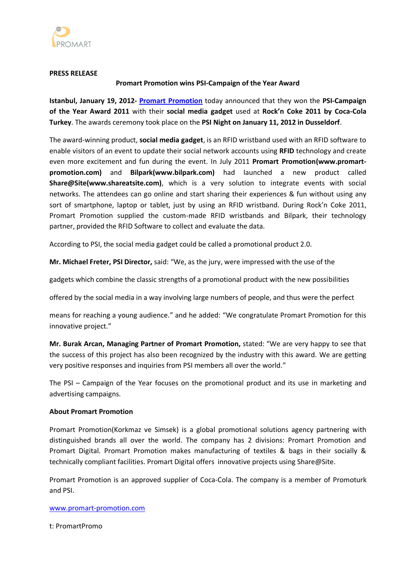

#### **PRESS RELEASE**

### **Promart Promotion wins PSI-Campaign of the Year Award**

**Istanbul, January 19, 2012- Promart [Promotion](http://www.promart-promotion.com/)** today announced that they won the **PSI-Campaign of the Year Award 2011** with their **social media gadget** used at **Rock'n Coke 2011 by Coca-Cola Turkey**. The awards ceremony took place on the **PSI Night on January 11, 2012 in Dusseldorf**.

The award-winning product, **social media gadget**, is an RFID wristband used with an RFID software to enable visitors of an event to update their social network accounts using **RFID** technology and create even more excitement and fun during the event. In July 2011 **Promart Promotion(www.promartpromotion.com)** and **Bilpark(www.bilpark.com)** had launched a new product called **Share@Site(www.shareatsite.com)**, which is a very solution to integrate events with social networks. The attendees can go online and start sharing their experiences & fun without using any sort of smartphone, laptop or tablet, just by using an RFID wristband. During Rock'n Coke 2011, Promart Promotion supplied the custom-made RFID wristbands and Bilpark, their technology partner, provided the RFID Software to collect and evaluate the data.

According to PSI, the social media gadget could be called a promotional product 2.0.

**Mr. Michael Freter, PSI Director,** said: "We, as the jury, were impressed with the use of the

gadgets which combine the classic strengths of a promotional product with the new possibilities

offered by the social media in a way involving large numbers of people, and thus were the perfect

means for reaching a young audience." and he added: "We congratulate Promart Promotion for this innovative project."

**Mr. Burak Arcan, Managing Partner of Promart Promotion,** stated: "We are very happy to see that the success of this project has also been recognized by the industry with this award. We are getting very positive responses and inquiries from PSI members all over the world."

The PSI – Campaign of the Year focuses on the promotional product and its use in marketing and advertising campaigns.

### **About Promart Promotion**

Promart Promotion(Korkmaz ve Simsek) is a global promotional solutions agency partnering with distinguished brands all over the world. The company has 2 divisions: Promart Promotion and Promart Digital. Promart Promotion makes manufacturing of textiles & bags in their socially & technically compliant facilities. Promart Digital offers innovative projects using Share@Site.

Promart Promotion is an approved supplier of Coca-Cola. The company is a member of Promoturk and PSI.

### [www.promart-promotion.com](http://www.promart-promotion.com/)

t: PromartPromo